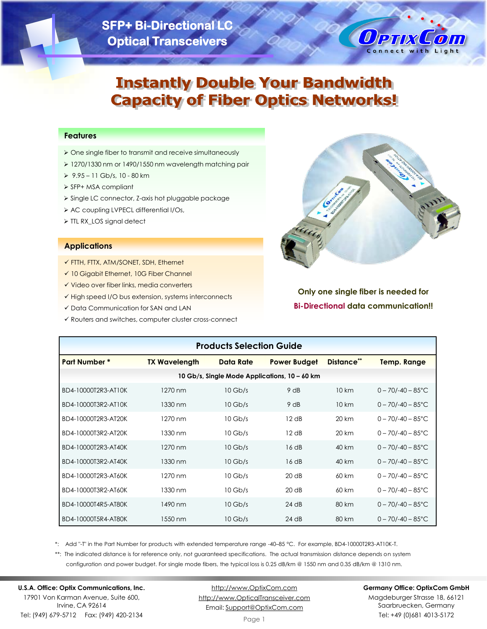# **SFP+ Bi-Directional LC Optical Transceivers**



# **Instantly Double Your Bandwidth Capacity of Fiber Optics Networks!**

#### **Features**

- ➢ One single fiber to transmit and receive simultaneously
- ➢ 1270/1330 nm or 1490/1550 nm wavelength matching pair
- ➢ 9.95 11 Gb/s, 10 80 km
- ➢ SFP+ MSA compliant
- ➢ Single LC connector, Z-axis hot pluggable package
- ➢ AC coupling LVPECL differential I/Os,
- ➢ TTL RX\_LOS signal detect

#### **Applications**

- ✓ FTTH, FTTX, ATM/SONET, SDH, Ethernet
- ✓ 10 Gigabit Ethernet, 10G Fiber Channel
- ✓ Video over fiber links, media converters
- ✓ High speed I/O bus extension, systems interconnects
- ✓ Data Communication for SAN and LAN
- ✓ Routers and switches, computer cluster cross-connect



## **Only one single fiber is needed for Bi-Directional data communication!!**

| <b>Products Selection Guide</b> |                      |           |                                               |            |                               |  |  |
|---------------------------------|----------------------|-----------|-----------------------------------------------|------------|-------------------------------|--|--|
| <b>Part Number *</b>            | <b>TX Wavelength</b> | Data Rate | <b>Power Budget</b>                           | Distance** | <b>Temp. Range</b>            |  |  |
|                                 |                      |           | 10 Gb/s, Single Mode Applications, 10 – 60 km |            |                               |  |  |
| BD4-10000T2R3-AT10K             | $1270 \text{ nm}$    | $10$ Gb/s | 9 dB                                          | 10 km      | $0 - 70/ - 40 - 85^{\circ}$ C |  |  |
| BD4-10000T3R2-AT10K             | 1330 nm              | $10$ Gb/s | 9 dB                                          | 10 km      | $0 - 70/ - 40 - 85^{\circ}$ C |  |  |
| BD4-10000T2R3-AT20K             | 1270 nm              | $10$ Gb/s | 12 dB                                         | 20 km      | $0 - 70/ - 40 - 85^{\circ}$ C |  |  |
| BD4-10000T3R2-AT20K             | 1330 nm              | $10$ Gb/s | 12 dB                                         | 20 km      | $0 - 70/ - 40 - 85^{\circ}$ C |  |  |
| BD4-10000T2R3-AT40K             | 1270 nm              | $10$ Gb/s | 16 dB                                         | 40 km      | $0 - 70/ - 40 - 85^{\circ}$ C |  |  |
| BD4-10000T3R2-AT40K             | 1330 nm              | $10$ Gb/s | 16dB                                          | 40 km      | $0 - 70/ - 40 - 85^{\circ}$ C |  |  |
| BD4-10000T2R3-AT60K             | 1270 nm              | $10$ Gb/s | 20 dB                                         | 60 km      | $0 - 70/ - 40 - 85^{\circ}$ C |  |  |
| BD4-10000T3R2-AT60K             | 1330 nm              | $10$ Gb/s | 20 dB                                         | 60 km      | $0 - 70/ - 40 - 85^{\circ}$ C |  |  |
| BD4-10000T4R5-AT80K             | 1490 nm              | $10$ Gb/s | $24$ dB                                       | 80 km      | $0 - 70/ - 40 - 85^{\circ}$ C |  |  |
| BD4-10000T5R4-AT80K             | 1550 nm              | $10$ Gb/s | $24$ dB                                       | 80 km      | $0 - 70/ - 40 - 85^{\circ}$ C |  |  |

\*: Add "-T" in the Part Number for products with extended temperature range -40–85 °C. For example, BD4-10000T2R3-AT10K-T.

\*\*: The indicated distance is for reference only, not guaranteed specifications. The actual transmission distance depends on system configuration and power budget. For single mode fibers, the typical loss is 0.25 dB/km @ 1550 nm and 0.35 dB/km @ 1310 nm.

## **U.S.A. Office: Optix Communications, Inc.**

17901 Von Karman Avenue, Suite 600, Irvine, CA 92614 Tel: (949) 679-5712 Fax: (949) 420-2134

[http://www.OptixCom.com](http://www.optixcom.com/) [http://www.OpticalTransceiver.com](http://www.optoictech.com/) Email: [Support@OptixCom.com](mailto:Support@optoICtech.com)

#### **Germany Office: OptixCom GmbH**

Magdeburger Strasse 18, 66121 Saarbruecken, Germany Tel: +49 (0)681 4013-5172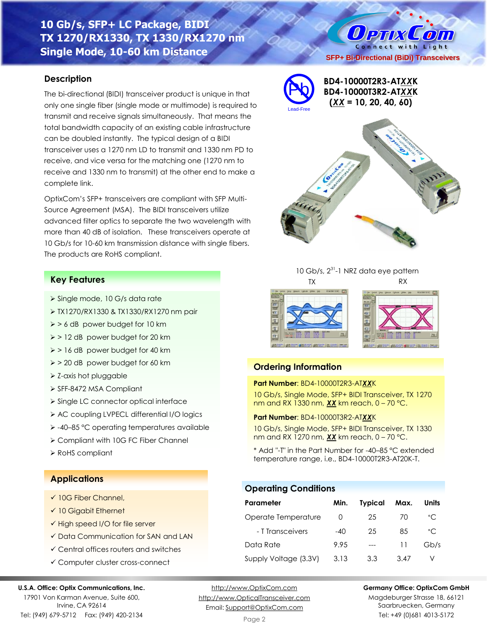## **10 Gb/s, SFP+ LC Package, BIDI TX 1270/RX1330, TX 1330/RX1270 nm Single Mode, 10-60 km Distance**

#### **Description**

The bi-directional (BIDI) transceiver product is unique in that only one single fiber (single mode or multimode) is required to transmit and receive signals simultaneously. That means the total bandwidth capacity of an existing cable infrastructure can be doubled instantly. The typical design of a BIDI transceiver uses a 1270 nm LD to transmit and 1330 nm PD to receive, and vice versa for the matching one (1270 nm to receive and 1330 nm to transmit) at the other end to make a complete link.

OptixCom's SFP+ transceivers are compliant with SFP Multi-Source Agreement (MSA). The BIDI transceivers utilize advanced filter optics to separate the two wavelength with more than 40 dB of isolation. These transceivers operate at 10 Gb/s for 10-60 km transmission distance with single fibers. The products are RoHS compliant.

#### **Key Features**

- ➢ Single mode, 10 G/s data rate
- ➢ TX1270/RX1330 & TX1330/RX1270 nm pair
- ➢ > 6 dB power budget for 10 km
- ➢ > 12 dB power budget for 20 km
- ➢ > 16 dB power budget for 40 km
- ➢ > 20 dB power budget for 60 km
- ➢ Z-axis hot pluggable
- ➢ SFF-8472 MSA Compliant
- ➢ Single LC connector optical interface
- ➢ AC coupling LVPECL differential I/O logics
- ➢ -40–85 °C operating temperatures available
- ➢ Compliant with 10G FC Fiber Channel
- ➢ RoHS compliant

#### **Applications**

- $\times$  10G Fiber Channel.
- ✓ 10 Gigabit Ethernet
- ✓ High speed I/O for file server
- ✓ Data Communication for SAN and LAN
- ✓ Central offices routers and switches
- ✓ Computer cluster cross-connect

#### **U.S.A. Office: Optix Communications, Inc.**

17901 Von Karman Avenue, Suite 600, Irvine, CA 92614 Tel: (949) 679-5712 Fax: (949) 420-2134

[http://www.OptixCom.com](http://www.optixcom.com/) [http://www.OpticalTransceiver.com](http://www.optoictech.com/) Email: [Support@OptixCom.com](mailto:Support@optoICtech.com)

#### **Germany Office: OptixCom GmbH**

Magdeburger Strasse 18, 66121 Saarbruecken, Germany Tel: +49 (0)681 4013-5172



O PTIX COM Connect with Light



TX RX

10 Gb/s, 2<sup>31</sup>-1 NRZ data eye pattern

## **Ordering Information**

Pb

#### **Part Number**: BD4-10000T2R3-AT*XX*K

10 Gb/s, Single Mode, SFP+ BIDI Transceiver, TX 1270 nm and RX 1330 nm, *XX* km reach, 0 – 70 °C.

#### **Part Number**: BD4-10000T3R2-AT*XX*K

10 Gb/s, Single Mode, SFP+ BIDI Transceiver, TX 1330 nm and RX 1270 nm, *XX* km reach, 0 – 70 °C.

\* Add "-T" in the Part Number for -40–85 °C extended temperature range, i.e., BD4-10000T2R3-AT20K-T.

#### **Operating Conditions**

| Parameter             | Min.             | <b>Typical</b> | Max. | Units        |
|-----------------------|------------------|----------------|------|--------------|
| Operate Temperature   | $\left( \right)$ | 25             | 70   | $^{\circ}$ C |
| - T Transceivers      | $-40$            | 25             | 85   | $^{\circ}$ C |
| Data Rate             | 9.95             |                | 11   | Gb/s         |
| Supply Voltage (3.3V) | 3.13             | 3.3            | 3.47 |              |

Page 2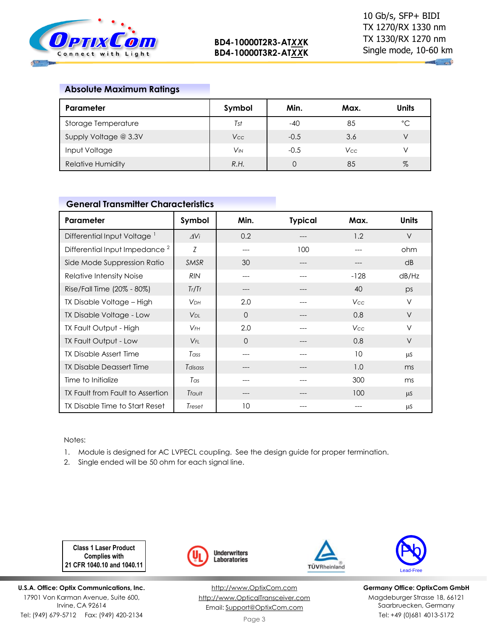

 $\mathbf{u}_1$  and

## **Absolute Maximum Ratings**

| Parameter                | Symbol                | Min.   | Max. | Units        |
|--------------------------|-----------------------|--------|------|--------------|
| Storage Temperature      | Tst                   | $-40$  | 85   | $^{\circ}$ C |
| Supply Voltage @ 3.3V    | Vcc                   | $-0.5$ | 3.6  |              |
| Input Voltage            | <b>V<sub>IN</sub></b> | $-0.5$ | Vcc  |              |
| <b>Relative Humidity</b> | R.H.                  |        | 85   | $\%$         |

#### **General Transmitter Characteristics**

| Parameter                                 | Symbol                 | Min.     | <b>Typical</b> | Max.       | <b>Units</b> |
|-------------------------------------------|------------------------|----------|----------------|------------|--------------|
| Differential Input Voltage <sup>1</sup>   | $\Delta V_i$           | 0.2      |                | 1.2        | $\vee$       |
| Differential Input Impedance <sup>2</sup> | Z                      | ---      | 100            |            | ohm          |
| Side Mode Suppression Ratio               | <b>SMSR</b>            | 30       | ---            |            | dB           |
| Relative Intensity Noise                  | <b>RIN</b>             | ---      |                | $-128$     | dB/Hz        |
| Rise/Fall Time (20% - 80%)                | Tr/Tr                  | ---      | ---            | 40         | ps           |
| TX Disable Voltage - High                 | <b>V</b> <sub>DН</sub> | 2.0      |                | <b>Vcc</b> | V            |
| TX Disable Voltage - Low                  | <b>V</b> <sub>DL</sub> | $\Omega$ |                | 0.8        | $\vee$       |
| <b>TX Fault Output - High</b>             | $V_{FH}$               | 2.0      |                | <b>Vcc</b> | $\vee$       |
| TX Fault Output - Low                     | $V_{FL}$               | $\Omega$ | ---            | 0.8        | $\vee$       |
| TX Disable Assert Time                    | Tass                   |          |                | 10         | <b>LLS</b>   |
| TX Disable Deassert Time                  | Tdisass                |          |                | 1.0        | ms           |
| Time to Initialize                        | Tas                    | ---      |                | 300        | ms           |
| TX Fault from Fault to Assertion          | Tfault                 |          |                | 100        | $\mu$ S      |
| TX Disable Time to Start Reset            | Treset                 | 10       |                |            | μS           |

#### Notes:

1. Module is designed for AC LVPECL coupling. See the design guide for proper termination.

2. Single ended will be 50 ohm for each signal line.

**Class 1 Laser Product Complies with 21 CFR 1040.10 and 1040.11**

**U.S.A. Office: Optix Communications, Inc.** 17901 Von Karman Avenue, Suite 600, Irvine, CA 92614 Tel: (949) 679-5712 Fax: (949) 420-2134



[http://www.OptixCom.com](http://www.optixcom.com/) [http://www.OpticalTransceiver.com](http://www.optoictech.com/) Email: [Support@OptixCom.com](mailto:Support@optoICtech.com)



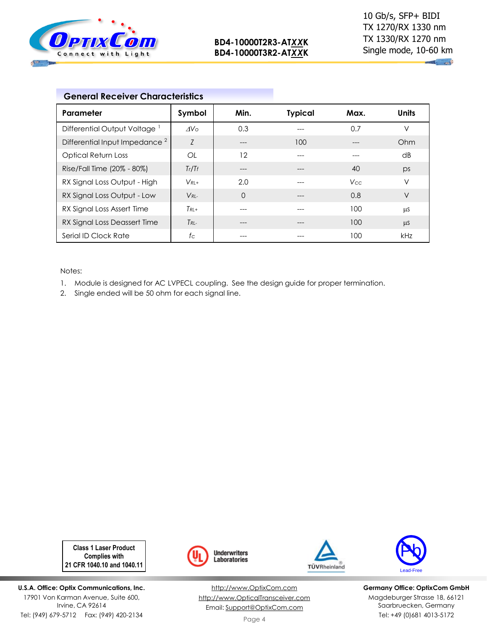

**Million** 

| <b>General Receiver Characteristics</b>   |                 |          |                |      |              |
|-------------------------------------------|-----------------|----------|----------------|------|--------------|
| Parameter                                 | Symbol          | Min.     | <b>Typical</b> | Max. | <b>Units</b> |
| Differential Output Voltage <sup>1</sup>  | AV <sub>O</sub> | 0.3      |                | 0.7  | $\vee$       |
| Differential Input Impedance <sup>2</sup> | Z               |          | 100            |      | Ohm          |
| <b>Optical Return Loss</b>                | OL              | 12       |                |      | dB           |
| Rise/Fall Time (20% - 80%)                | Tr/Tr           | ---      | ---            | 40   | ps           |
| RX Signal Loss Output - High              | $V_{RI+}$       | 2.0      |                | Vcc. | V            |
| RX Signal Loss Output - Low               | $V_{RI}$        | $\Omega$ |                | 0.8  | V            |
| RX Signal Loss Assert Time                | $T_{RI}$ +      |          |                | 100  | μS           |
| RX Signal Loss Deassert Time              | $T_{RI}$        |          |                | 100  | $\mu$ S      |
| Serial ID Clock Rate                      | $f_{\rm C}$     |          |                | 100  | kHz          |

Notes:

- 1. Module is designed for AC LVPECL coupling. See the design guide for proper termination.
- 2. Single ended will be 50 ohm for each signal line.

**Class 1 Laser Product Complies with 21 CFR 1040.10 and 1040.11**

**U.S.A. Office: Optix Communications, Inc.** 17901 Von Karman Avenue, Suite 600, Irvine, CA 92614 Tel: (949) 679-5712 Fax: (949) 420-2134



[http://www.OptixCom.com](http://www.optixcom.com/) [http://www.OpticalTransceiver.com](http://www.optoictech.com/) Email: [Support@OptixCom.com](mailto:Support@optoICtech.com)



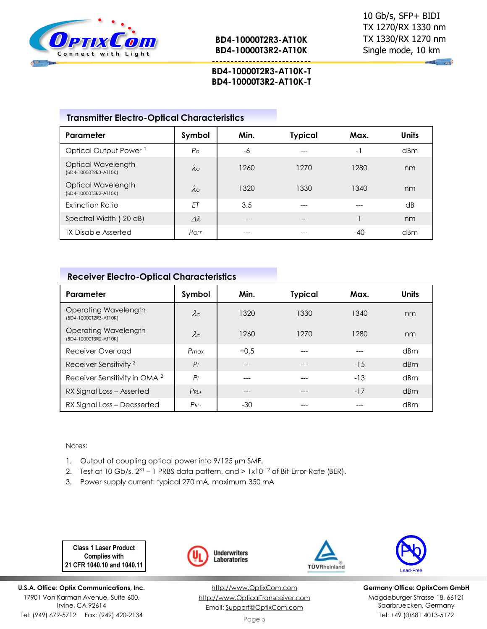

**BD4-10000T2R3-AT10K BD4-10000T3R2-AT10K**

**---------------------------**

 $\sim$ 

#### **BD4-10000T2R3-AT10K-T BD4-10000T3R2-AT10K-T**

|  |  | <b>Transmitter Electro-Optical Characteristics</b> |
|--|--|----------------------------------------------------|
|--|--|----------------------------------------------------|

| Parameter                                   | Symbol             | Min. | <b>Typical</b> | Max.           | <b>Units</b> |
|---------------------------------------------|--------------------|------|----------------|----------------|--------------|
| Optical Output Power <sup>1</sup>           | $P_{\rm O}$        | -6   |                | $\overline{a}$ | dBm          |
| Optical Wavelength<br>(BD4-10000T2R3-AT10K) | $\lambda \circ$    | 1260 | 1270           | 1280           | nm           |
| Optical Wavelength<br>(BD4-10000T3R2-AT10K) | $\lambda_{\rm O}$  | 1320 | 1330           | 1340           | nm           |
| Extinction Ratio                            | ET                 | 3.5  | ---            | ---            | dB           |
| Spectral Width (-20 dB)                     | $\varDelta\lambda$ | ---  | ---            |                | nm           |
| <b>TX Disable Asserted</b>                  | POFF               |      |                | $-40$          | dBm          |

## **Receiver Electro-Optical Characteristics**

| Parameter                                     | Symbol         | Min.   | <b>Typical</b> | Max.  | <b>Units</b> |
|-----------------------------------------------|----------------|--------|----------------|-------|--------------|
| Operating Wavelength<br>(BD4-10000T2R3-AT10K) | $\lambda c$    | 1320   | 1330           | 1340  | nm           |
| Operating Wavelength<br>(BD4-10000T3R2-AT10K) | $\lambda c$    | 1260   | 1270           | 1280  | nm           |
| Receiver Overload                             | $P_{max}$      | $+0.5$ |                |       | dBm          |
| Receiver Sensitivity <sup>2</sup>             | P <sub>1</sub> | ---    | ---            | $-15$ | dBm          |
| Receiver Sensitivity in OMA <sup>2</sup>      | P <sub>1</sub> | ---    |                | $-13$ | dBm          |
| RX Signal Loss - Asserted                     | $P_{RI}$ +     |        |                | $-17$ | dBm          |
| RX Signal Loss - Deasserted                   | $P_{RI}$       | $-30$  |                |       | dBm          |

#### Notes:

- 1. Output of coupling optical power into  $9/125 \mu m$  SMF.
- 2. Test at 10 Gb/s,  $2^{31}$  1 PRBS data pattern, and  $> 1 \times 10^{-12}$  of Bit-Error-Rate (BER).
- 3. Power supply current: typical 270 mA, maximum 350 mA

**Class 1 Laser Product Complies with 21 CFR 1040.10 and 1040.11**

**U.S.A. Office: Optix Communications, Inc.** 17901 Von Karman Avenue, Suite 600, Irvine, CA 92614 Tel: (949) 679-5712 Fax: (949) 420-2134



[http://www.OptixCom.com](http://www.optixcom.com/) [http://www.OpticalTransceiver.com](http://www.optoictech.com/) Email: [Support@OptixCom.com](mailto:Support@optoICtech.com)



TÜVRheinland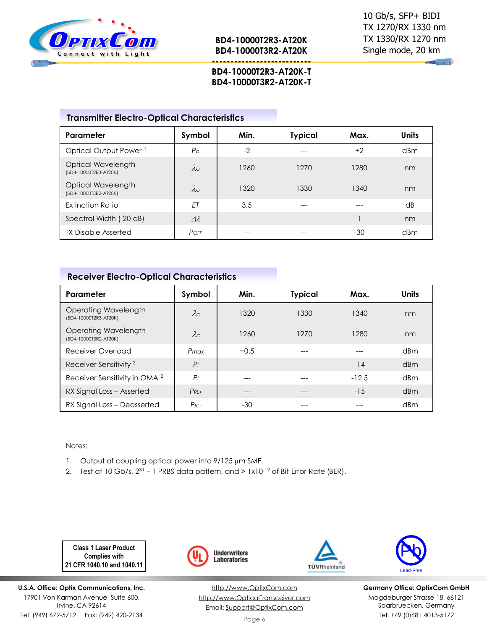

 $\sim$ 

## **BD4-10000T2R3-AT20K-T BD4-10000T3R2-AT20K-T**

**---------------------------**

| <b>Transmitter Electro-Optical Characteristics</b> |  |  |  |
|----------------------------------------------------|--|--|--|
|----------------------------------------------------|--|--|--|

| Parameter                                   | Symbol            | Min. | <b>Typical</b> | Max. | <b>Units</b> |
|---------------------------------------------|-------------------|------|----------------|------|--------------|
| Optical Output Power <sup>1</sup>           | $P_{\rm O}$       | $-2$ |                | $+2$ | dBm          |
| Optical Wavelength<br>(BD4-10000T2R3-AT20K) | $\lambda$ o       | 1260 | 1270           | 1280 | nm           |
| Optical Wavelength<br>(BD4-10000T3R2-AT20K) | $\lambda_{\rm O}$ | 1320 | 1330           | 1340 | nm           |
| Extinction Ratio                            | ET                | 3.5  |                |      | dB           |
| Spectral Width (-20 dB)                     | $\lambda\lambda$  | ---  | ---            |      | nm           |
| <b>TX Disable Asserted</b>                  | POFF              | ---  |                | -30  | dBm          |

## **Receiver Electro-Optical Characteristics**

| Parameter                                     | Symbol         | Min.   | <b>Typical</b> | Max.    | <b>Units</b> |
|-----------------------------------------------|----------------|--------|----------------|---------|--------------|
| Operating Wavelength<br>(BD4-10000T2R3-AT20K) | $\lambda c$    | 1320   | 1330           | 1340    | nm           |
| Operating Wavelength<br>(BD4-10000T3R2-AT20K) | $\lambda c$    | 1260   | 1270           | 1280    | nm           |
| Receiver Overload                             | $P_{max}$      | $+0.5$ |                |         | dBm          |
| Receiver Sensitivity <sup>2</sup>             | P <sub>1</sub> | ---    | $---$          | $-14$   | dBm          |
| Receiver Sensitivity in OMA <sup>2</sup>      | P <sub>1</sub> | ---    |                | $-12.5$ | dBm          |
| RX Signal Loss - Asserted                     | $P_{RI}$ +     | ---    |                | $-15$   | dBm          |
| RX Signal Loss - Deasserted                   | $P_{RI}$       | $-30$  |                |         | dBm          |

#### Notes:

- 1. Output of coupling optical power into 9/125 µm SMF.
- 2. Test at 10 Gb/s,  $2^{31}$  1 PRBS data pattern, and  $> 1 \times 10^{-12}$  of Bit-Error-Rate (BER).

**Class 1 Laser Product Complies with 21 CFR 1040.10 and 1040.11**

**U.S.A. Office: Optix Communications, Inc.** 17901 Von Karman Avenue, Suite 600, Irvine, CA 92614 Tel: (949) 679-5712 Fax: (949) 420-2134



[http://www.OptixCom.com](http://www.optixcom.com/) [http://www.OpticalTransceiver.com](http://www.optoictech.com/) Email: [Support@OptixCom.com](mailto:Support@optoICtech.com)



TÜVRheinland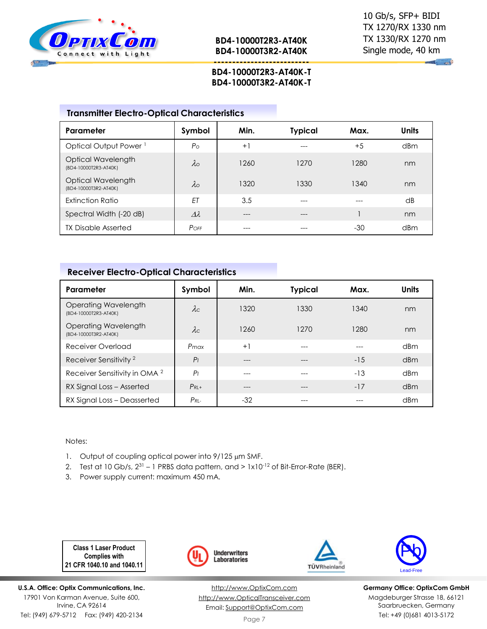

**BD4-10000T2R3-AT40K BD4-10000T3R2-AT40K**

**Communication** 

## **BD4-10000T2R3-AT40K-T BD4-10000T3R2-AT40K-T**

**--------------------------**

## **Transmitter Electro-Optical Characteristics**

| Parameter                                   | Symbol             | Min. | <b>Typical</b> | Max. | <b>Units</b>    |
|---------------------------------------------|--------------------|------|----------------|------|-----------------|
| Optical Output Power <sup>1</sup>           | $P_{\rm O}$        | $+1$ | ---            | $+5$ | dBm             |
| Optical Wavelength<br>(BD4-10000T2R3-AT40K) | $\lambda_{\rm O}$  | 1260 | 1270           | 1280 | nm              |
| Optical Wavelength<br>(BD4-10000T3R2-AT40K) | $\lambda_{\rm O}$  | 1320 | 1330           | 1340 | nm              |
| <b>Extinction Ratio</b>                     | ET                 | 3.5  | ---            | ---  | $\overline{AB}$ |
| Spectral Width (-20 dB)                     | $\varDelta\lambda$ | ---  | ---            |      | nm              |
| <b>TX Disable Asserted</b>                  | POFF               |      |                | -30  | dBm             |

## **Receiver Electro-Optical Characteristics**

| Parameter                                     | Symbol         | Min.  | <b>Typical</b> | Max.  | <b>Units</b> |
|-----------------------------------------------|----------------|-------|----------------|-------|--------------|
| Operating Wavelength<br>(BD4-10000T2R3-AT40K) | $\lambda c$    | 1320  | 1330           | 1340  | nm           |
| Operating Wavelength<br>(BD4-10000T3R2-AT40K) | $\lambda c$    | 1260  | 1270           | 1280  | nm           |
| Receiver Overload                             | $P_{max}$      | $+1$  | ---            | ---   | dBm          |
| Receiver Sensitivity <sup>2</sup>             | P <sub>1</sub> | $---$ | ---            | $-15$ | dBm          |
| Receiver Sensitivity in OMA <sup>2</sup>      | P <sub>1</sub> | ---   |                | $-13$ | dBm          |
| RX Signal Loss - Asserted                     | $P_{RI}$ +     | ---   |                | $-17$ | dBm          |
| RX Signal Loss - Deasserted                   | $P_{RL}$       | $-32$ |                |       | dBm          |

#### Notes:

- 1. Output of coupling optical power into  $9/125 \mu m$  SMF.
- 2. Test at 10 Gb/s,  $2^{31}$  1 PRBS data pattern, and >  $1 \times 10^{-12}$  of Bit-Error-Rate (BER).
- 3. Power supply current: maximum 450 mA.

**Class 1 Laser Product Complies with 21 CFR 1040.10 and 1040.11**

**U.S.A. Office: Optix Communications, Inc.** 17901 Von Karman Avenue, Suite 600, Irvine, CA 92614 Tel: (949) 679-5712 Fax: (949) 420-2134



[http://www.OptixCom.com](http://www.optixcom.com/) [http://www.OpticalTransceiver.com](http://www.optoictech.com/) Email: [Support@OptixCom.com](mailto:Support@optoICtech.com)



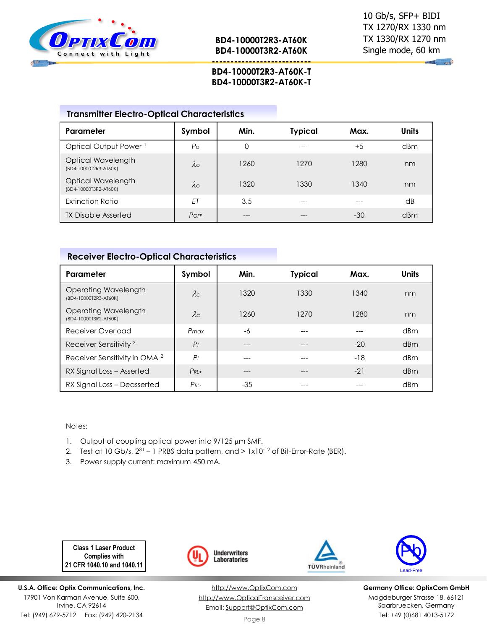

**Communication** 

## **BD4-10000T2R3-AT60K-T BD4-10000T3R2-AT60K-T**

**---------------------------**

#### **Transmitter Electro-Optical Characteristics**

| Parameter                                   | Symbol            | Min. | <b>Typical</b> | Max.  | <b>Units</b> |
|---------------------------------------------|-------------------|------|----------------|-------|--------------|
| Optical Output Power <sup>1</sup>           | P <sub>O</sub>    | 0    | ---            | $+5$  | dBm          |
| Optical Wavelength<br>(BD4-10000T2R3-AT60K) | $\lambda$ o       | 1260 | 1270           | 1280  | nm           |
| Optical Wavelength<br>(BD4-10000T3R2-AT60K) | $\lambda_{\rm O}$ | 1320 | 1330           | 1340  | nm           |
| Extinction Ratio                            | ET                | 3.5  | ---            |       | dB           |
| <b>TX Disable Asserted</b>                  | $P$ OFF           | ---  |                | $-30$ | dBm          |

## **Receiver Electro-Optical Characteristics**

| Parameter                                     | Symbol         | Min.  | <b>Typical</b> | Max.  | <b>Units</b> |
|-----------------------------------------------|----------------|-------|----------------|-------|--------------|
| Operating Wavelength<br>(BD4-10000T2R3-AT60K) | $\lambda c$    | 1320  | 1330           | 1340  | nm           |
| Operating Wavelength<br>(BD4-10000T3R2-AT60K) | $\lambda c$    | 1260  | 1270           | 1280  | nm           |
| Receiver Overload                             | Pmax           | -6    |                |       | dBm          |
| Receiver Sensitivity <sup>2</sup>             | P <sub>1</sub> | ---   |                | $-20$ | dBm          |
| Receiver Sensitivity in OMA <sup>2</sup>      | P <sub>1</sub> | ---   |                | -18   | dBm          |
| RX Signal Loss - Asserted                     | $P_{RI}$ +     | ---   | ---            | $-21$ | dBm          |
| RX Signal Loss - Deasserted                   | $P_{RI}$       | $-35$ |                |       | dBm          |

#### Notes:

- 1. Output of coupling optical power into  $9/125 \mu m$  SMF.
- 2. Test at 10 Gb/s,  $2^{31}$  1 PRBS data pattern, and  $> 1 \times 10^{-12}$  of Bit-Error-Rate (BER).
- 3. Power supply current: maximum 450 mA.

**Class 1 Laser Product Complies with 21 CFR 1040.10 and 1040.11**

**U.S.A. Office: Optix Communications, Inc.** 17901 Von Karman Avenue, Suite 600, Irvine, CA 92614 Tel: (949) 679-5712 Fax: (949) 420-2134



[http://www.OptixCom.com](http://www.optixcom.com/) [http://www.OpticalTransceiver.com](http://www.optoictech.com/) Email: [Support@OptixCom.com](mailto:Support@optoICtech.com)



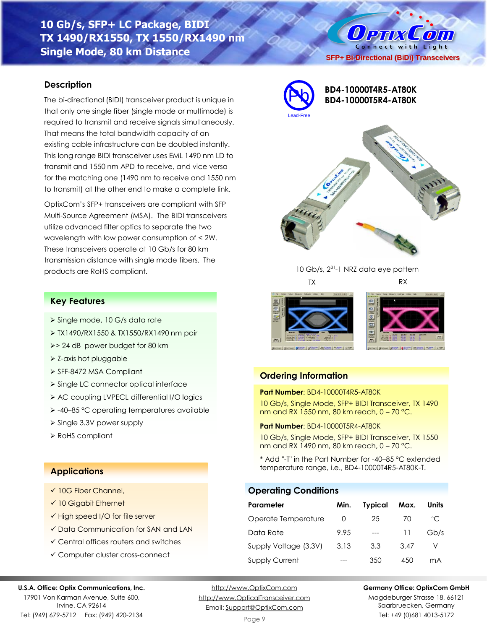## **10 Gb/s, SFP+ LC Package, BIDI TX 1490/RX1550, TX 1550/RX1490 nm Single Mode, 80 km Distance**

#### **Description**

The bi-directional (BIDI) transceiver product is unique in that only one single fiber (single mode or multimode) is required to transmit and receive signals simultaneously. That means the total bandwidth capacity of an existing cable infrastructure can be doubled instantly. This long range BIDI transceiver uses EML 1490 nm LD to transmit and 1550 nm APD to receive, and vice versa for the matching one (1490 nm to receive and 1550 nm to transmit) at the other end to make a complete link.

OptixCom's SFP+ transceivers are compliant with SFP Multi-Source Agreement (MSA). The BIDI transceivers utilize advanced filter optics to separate the two wavelength with low power consumption of < 2W. These transceivers operate at 10 Gb/s for 80 km transmission distance with single mode fibers. The products are RoHS compliant.



## **BD4-10000T4R5-AT80K BD4-10000T5R4-AT80K**

**SFP+ Bi-Directional (BiDi) Transceivers**

**Ортіх Сопі** Connect with Light



10 Gb/s, 2<sup>31</sup>-1 NRZ data eye pattern TX RX





#### **Ordering Information**

#### **Part Number**: BD4-10000T4R5-AT80K

10 Gb/s, Single Mode, SFP+ BIDI Transceiver, TX 1490 nm and RX 1550 nm, 80 km reach, 0 – 70 °C.

#### **Part Number**: BD4-10000T5R4-AT80K

10 Gb/s, Single Mode, SFP+ BIDI Transceiver, TX 1550 nm and RX 1490 nm, 80 km reach, 0 – 70 °C.

\* Add "-T" in the Part Number for -40–85 °C extended temperature range, i.e., BD4-10000T4R5-AT80K-T.

#### **Operating Conditions**

| Parameter             | Min. | <b>Typical</b> | Max. | Units        |
|-----------------------|------|----------------|------|--------------|
| Operate Temperature   | O    | 25             | 70   | $^{\circ}$ C |
| Data Rate             | 9.95 |                | 11   | Gb/s         |
| Supply Voltage (3.3V) | 3.13 | 3.3            | 3.47 |              |
| <b>Supply Current</b> |      | 350            | 450  | mA           |

## **U.S.A. Office: Optix Communications, Inc.**

17901 Von Karman Avenue, Suite 600, Irvine, CA 92614 Tel: (949) 679-5712 Fax: (949) 420-2134

[http://www.OptixCom.com](http://www.optixcom.com/) [http://www.OpticalTransceiver.com](http://www.optoictech.com/) Email: [Support@OptixCom.com](mailto:Support@optoICtech.com)

Page 9

#### **Germany Office: OptixCom GmbH**

Magdeburger Strasse 18, 66121 Saarbruecken, Germany Tel: +49 (0)681 4013-5172

#### **Key Features**

- ➢ Single mode, 10 G/s data rate
- ➢ TX1490/RX1550 & TX1550/RX1490 nm pair
- ➢> 24 dB power budget for 80 km
- ➢ Z-axis hot pluggable
- ➢ SFF-8472 MSA Compliant
- ➢ Single LC connector optical interface
- ➢ AC coupling LVPECL differential I/O logics
- ➢ -40–85 °C operating temperatures available
- ➢ Single 3.3V power supply
- ➢ RoHS compliant

#### **Applications**

- ✓ 10G Fiber Channel,
- ✓ 10 Gigabit Ethernet
- ✓ High speed I/O for file server
- ✓ Data Communication for SAN and LAN
- ✓ Central offices routers and switches
- ✓ Computer cluster cross-connect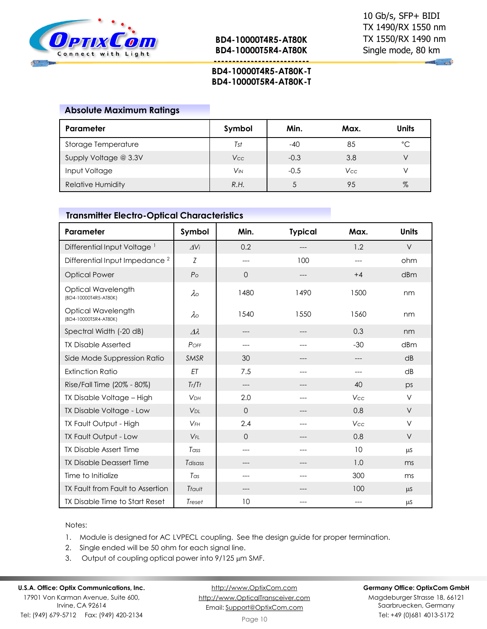

**--------------------------**

 $\mathbb{R}$   $\mathbb{R}$ 

#### **BD4-10000T4R5-AT80K-T BD4-10000T5R4-AT80K-T**

#### **Absolute Maximum Ratings**

| Parameter                | Symbol     | Min.   | Max.       | Units       |
|--------------------------|------------|--------|------------|-------------|
| Storage Temperature      | Tst        | $-40$  | 85         | $^{\circ}C$ |
| Supply Voltage @ 3.3V    | <b>Vcc</b> | $-0.3$ | 3.8        |             |
| Input Voltage            | VM         | $-0.5$ | <b>Vcc</b> |             |
| <b>Relative Humidity</b> | R.H.       |        | 95         | $\%$        |

## **Transmitter Electro-Optical Characteristics**

| Parameter                                   | Symbol                | Min.        | <b>Typical</b> | Max.       | <b>Units</b> |
|---------------------------------------------|-----------------------|-------------|----------------|------------|--------------|
| Differential Input Voltage <sup>1</sup>     | $\Delta$ Vi           | 0.2         |                | 1.2        | $\vee$       |
| Differential Input Impedance <sup>2</sup>   | Z                     | ---         | 100            | ---        | ohm          |
| <b>Optical Power</b>                        | P <sub>O</sub>        | $\Omega$    | ---            | $+4$       | dBm          |
| Optical Wavelength<br>(BD4-10000T4R5-AT80K) | $\lambda$             | 1480        | 1490           | 1500       | nm           |
| Optical Wavelength<br>(BD4-10000T5R4-AT80K) | $\lambda \circ$       | 1540        | 1550           | 1560       | nm           |
| Spectral Width (-20 dB)                     | $\Delta\lambda$       | ---         |                | 0.3        | nm           |
| <b>TX Disable Asserted</b>                  | POFF                  | ---         | ---            | $-30$      | dBm          |
| Side Mode Suppression Ratio                 | <b>SMSR</b>           | 30          |                |            | dB           |
| <b>Extinction Ratio</b>                     | ET                    | 7.5         | ---            | ---        | dB           |
| Rise/Fall Time (20% - 80%)                  | Tr/Tf                 | ---         |                | 40         | ps           |
| TX Disable Voltage - High                   | <b>V<sub>DH</sub></b> | 2.0         | ---            | Vcc        | $\vee$       |
| TX Disable Voltage - Low                    | V <sub>DL</sub>       | $\mathbf 0$ | ---            | 0.8        | $\vee$       |
| TX Fault Output - High                      | $V$ FH                | 2.4         |                | <b>Vcc</b> | V            |
| TX Fault Output - Low                       | $V_{FI}$              | $\Omega$    | ---            | 0.8        | $\vee$       |
| <b>TX Disable Assert Time</b>               | Tass                  | $---$       | $---$          | 10         | μS           |
| <b>TX Disable Deassert Time</b>             | Tdisass               | ---         |                | 1.0        | ms           |
| Time to Initialize                          | Tas                   | ---         | ---            | 300        | ms           |
| TX Fault from Fault to Assertion            | Tfault                |             |                | 100        | $\mu$ S      |
| TX Disable Time to Start Reset              | Treset                | 10          |                |            | $\mu$ S      |

#### Notes:

- 1. Module is designed for AC LVPECL coupling. See the design guide for proper termination.
- 2. Single ended will be 50 ohm for each signal line.
- 3. Output of coupling optical power into  $9/125 \mu m$  SMF.

#### **U.S.A. Office: Optix Communications, Inc.**

17901 Von Karman Avenue, Suite 600, Irvine, CA 92614 Tel: (949) 679-5712 Fax: (949) 420-2134

[http://www.OptixCom.com](http://www.optixcom.com/) [http://www.OpticalTransceiver.com](http://www.optoictech.com/) Email: [Support@OptixCom.com](mailto:Support@optoICtech.com)

#### **Germany Office: OptixCom GmbH**

Magdeburger Strasse 18, 66121 Saarbruecken, Germany Tel: +49 (0)681 4013-5172